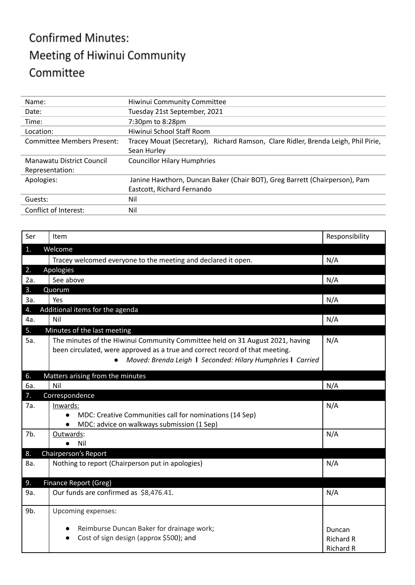## **Confirmed Minutes:** Meeting of Hiwinui Community Committee

| Name:                      | Hiwinui Community Committee                                                       |  |  |
|----------------------------|-----------------------------------------------------------------------------------|--|--|
| Date:                      | Tuesday 21st September, 2021                                                      |  |  |
| Time:                      | 7:30pm to 8:28pm                                                                  |  |  |
| Location:                  | Hiwinui School Staff Room                                                         |  |  |
| Committee Members Present: | Tracey Mouat (Secretary), Richard Ramson, Clare Ridler, Brenda Leigh, Phil Pirie, |  |  |
|                            | Sean Hurley                                                                       |  |  |
| Manawatu District Council  | <b>Councillor Hilary Humphries</b>                                                |  |  |
| Representation:            |                                                                                   |  |  |
| Apologies:                 | Janine Hawthorn, Duncan Baker (Chair BOT), Greg Barrett (Chairperson), Pam        |  |  |
|                            | Eastcott, Richard Fernando                                                        |  |  |
| Guests:                    | Nil                                                                               |  |  |
| Conflict of Interest:      | Nil                                                                               |  |  |

| Ser | Item                                                                                                                                                          | Responsibility   |
|-----|---------------------------------------------------------------------------------------------------------------------------------------------------------------|------------------|
| 1.  | Welcome                                                                                                                                                       |                  |
|     | Tracey welcomed everyone to the meeting and declared it open.                                                                                                 | N/A              |
| 2.  | Apologies                                                                                                                                                     |                  |
| 2a. | See above                                                                                                                                                     | N/A              |
| 3.  | Quorum                                                                                                                                                        |                  |
| За. | Yes                                                                                                                                                           | N/A              |
| 4.  | Additional items for the agenda                                                                                                                               |                  |
| 4a. | Nil                                                                                                                                                           | N/A              |
| 5.  | Minutes of the last meeting                                                                                                                                   |                  |
| 5а. | The minutes of the Hiwinui Community Committee held on 31 August 2021, having<br>been circulated, were approved as a true and correct record of that meeting. | N/A              |
|     | Moved: Brenda Leigh   Seconded: Hilary Humphries   Carried                                                                                                    |                  |
| 6.  | Matters arising from the minutes                                                                                                                              |                  |
| 6а. | Nil                                                                                                                                                           | N/A              |
| 7.  | Correspondence                                                                                                                                                |                  |
| 7a. | Inwards:                                                                                                                                                      | N/A              |
|     | MDC: Creative Communities call for nominations (14 Sep)                                                                                                       |                  |
|     | MDC: advice on walkways submission (1 Sep)                                                                                                                    |                  |
| 7b. | Outwards:                                                                                                                                                     | N/A              |
|     | Nil<br>$\bullet$                                                                                                                                              |                  |
| 8.  | Chairperson's Report                                                                                                                                          |                  |
| 8a. | Nothing to report (Chairperson put in apologies)                                                                                                              | N/A              |
| 9.  | Finance Report (Greg)                                                                                                                                         |                  |
| 9a. | Our funds are confirmed as \$8,476.41.                                                                                                                        | N/A              |
| 9b. | Upcoming expenses:                                                                                                                                            |                  |
|     | Reimburse Duncan Baker for drainage work;                                                                                                                     | Duncan           |
|     | Cost of sign design (approx \$500); and<br>$\bullet$                                                                                                          | <b>Richard R</b> |
|     |                                                                                                                                                               | <b>Richard R</b> |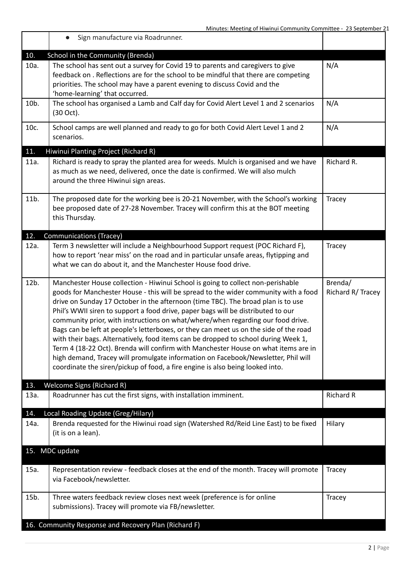|      | Sign manufacture via Roadrunner.<br>$\bullet$                                                                                                                                                                                                                                                                                                                                                                                                                                                                                                                                                                                                                                                                                                                                                                                                                                |                              |
|------|------------------------------------------------------------------------------------------------------------------------------------------------------------------------------------------------------------------------------------------------------------------------------------------------------------------------------------------------------------------------------------------------------------------------------------------------------------------------------------------------------------------------------------------------------------------------------------------------------------------------------------------------------------------------------------------------------------------------------------------------------------------------------------------------------------------------------------------------------------------------------|------------------------------|
| 10.  | School in the Community (Brenda)                                                                                                                                                                                                                                                                                                                                                                                                                                                                                                                                                                                                                                                                                                                                                                                                                                             |                              |
| 10a. | The school has sent out a survey for Covid 19 to parents and caregivers to give<br>feedback on. Reflections are for the school to be mindful that there are competing<br>priorities. The school may have a parent evening to discuss Covid and the<br>'home-learning' that occurred.                                                                                                                                                                                                                                                                                                                                                                                                                                                                                                                                                                                         | N/A                          |
| 10b. | The school has organised a Lamb and Calf day for Covid Alert Level 1 and 2 scenarios<br>(30 Oct).                                                                                                                                                                                                                                                                                                                                                                                                                                                                                                                                                                                                                                                                                                                                                                            | N/A                          |
| 10c. | School camps are well planned and ready to go for both Covid Alert Level 1 and 2<br>scenarios.                                                                                                                                                                                                                                                                                                                                                                                                                                                                                                                                                                                                                                                                                                                                                                               | N/A                          |
| 11.  | Hiwinui Planting Project (Richard R)                                                                                                                                                                                                                                                                                                                                                                                                                                                                                                                                                                                                                                                                                                                                                                                                                                         |                              |
| 11a. | Richard is ready to spray the planted area for weeds. Mulch is organised and we have<br>as much as we need, delivered, once the date is confirmed. We will also mulch<br>around the three Hiwinui sign areas.                                                                                                                                                                                                                                                                                                                                                                                                                                                                                                                                                                                                                                                                | Richard R.                   |
| 11b. | The proposed date for the working bee is 20-21 November, with the School's working<br>bee proposed date of 27-28 November. Tracey will confirm this at the BOT meeting<br>this Thursday.                                                                                                                                                                                                                                                                                                                                                                                                                                                                                                                                                                                                                                                                                     | Tracey                       |
| 12.  | Communications (Tracey)                                                                                                                                                                                                                                                                                                                                                                                                                                                                                                                                                                                                                                                                                                                                                                                                                                                      |                              |
| 12a. | Term 3 newsletter will include a Neighbourhood Support request (POC Richard F),<br>how to report 'near miss' on the road and in particular unsafe areas, flytipping and<br>what we can do about it, and the Manchester House food drive.                                                                                                                                                                                                                                                                                                                                                                                                                                                                                                                                                                                                                                     | Tracey                       |
| 12b. | Manchester House collection - Hiwinui School is going to collect non-perishable<br>goods for Manchester House - this will be spread to the wider community with a food<br>drive on Sunday 17 October in the afternoon (time TBC). The broad plan is to use<br>Phil's WWII siren to support a food drive, paper bags will be distributed to our<br>community prior, with instructions on what/where/when regarding our food drive.<br>Bags can be left at people's letterboxes, or they can meet us on the side of the road<br>with their bags. Alternatively, food items can be dropped to school during Week 1,<br>Term 4 (18-22 Oct). Brenda will confirm with Manchester House on what items are in<br>high demand, Tracey will promulgate information on Facebook/Newsletter, Phil will<br>coordinate the siren/pickup of food, a fire engine is also being looked into. | Brenda/<br>Richard R/ Tracey |
| 13.  | <b>Welcome Signs (Richard R)</b>                                                                                                                                                                                                                                                                                                                                                                                                                                                                                                                                                                                                                                                                                                                                                                                                                                             |                              |
| 13a. | Roadrunner has cut the first signs, with installation imminent.                                                                                                                                                                                                                                                                                                                                                                                                                                                                                                                                                                                                                                                                                                                                                                                                              | <b>Richard R</b>             |
| 14.  | Local Roading Update (Greg/Hilary)                                                                                                                                                                                                                                                                                                                                                                                                                                                                                                                                                                                                                                                                                                                                                                                                                                           |                              |
| 14a. | Brenda requested for the Hiwinui road sign (Watershed Rd/Reid Line East) to be fixed<br>(it is on a lean).                                                                                                                                                                                                                                                                                                                                                                                                                                                                                                                                                                                                                                                                                                                                                                   | Hilary                       |
|      | 15. MDC update                                                                                                                                                                                                                                                                                                                                                                                                                                                                                                                                                                                                                                                                                                                                                                                                                                                               |                              |
| 15a. | Representation review - feedback closes at the end of the month. Tracey will promote<br>via Facebook/newsletter.                                                                                                                                                                                                                                                                                                                                                                                                                                                                                                                                                                                                                                                                                                                                                             | <b>Tracey</b>                |
| 15b. | Three waters feedback review closes next week (preference is for online<br>submissions). Tracey will promote via FB/newsletter.                                                                                                                                                                                                                                                                                                                                                                                                                                                                                                                                                                                                                                                                                                                                              | Tracey                       |
|      | 16. Community Response and Recovery Plan (Richard F)                                                                                                                                                                                                                                                                                                                                                                                                                                                                                                                                                                                                                                                                                                                                                                                                                         |                              |